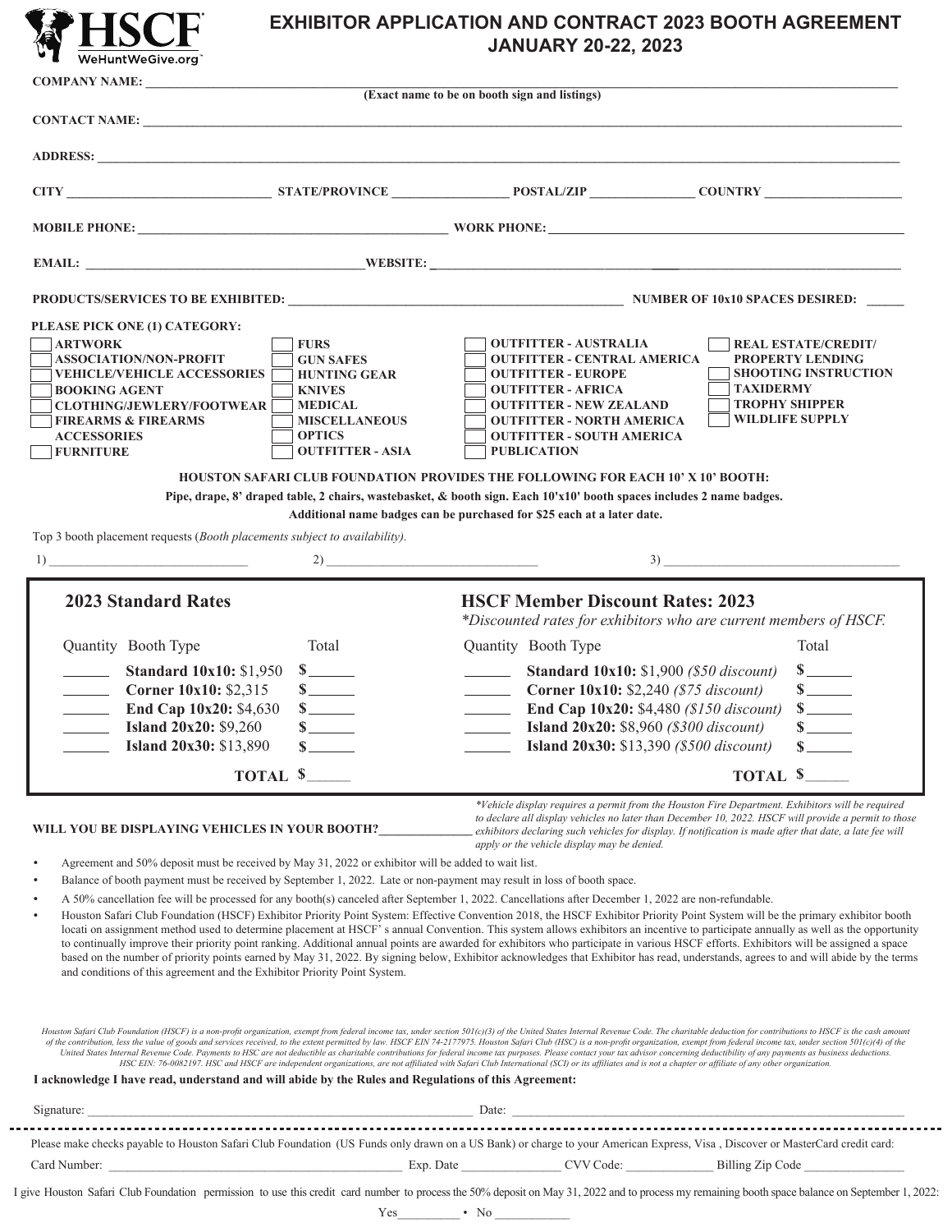## **EXHIBITOR APPLICATION AND CONTRACT 2023 BOOTH AGREEMENT JANUARY 20-22, 2023**

|                                                                                                                                                                                                                                                                                                                                                                                                                                                                      |                                                                                                                                                               | (Exact name to be on booth sign and listings)                                                                                                                                                                                                                                                                                                                                                                                                                                                                                                     |                                                                                                                                                                                                                                                                                                                                                                                                                                                                                                                                                                                                                                                                                                                                                                                                                                                                                                                                                                                                                                                                                                                                                                                                                                                                                                                                                                                                                                                                                                                                                                                                                                                                                                                                                                                   |
|----------------------------------------------------------------------------------------------------------------------------------------------------------------------------------------------------------------------------------------------------------------------------------------------------------------------------------------------------------------------------------------------------------------------------------------------------------------------|---------------------------------------------------------------------------------------------------------------------------------------------------------------|---------------------------------------------------------------------------------------------------------------------------------------------------------------------------------------------------------------------------------------------------------------------------------------------------------------------------------------------------------------------------------------------------------------------------------------------------------------------------------------------------------------------------------------------------|-----------------------------------------------------------------------------------------------------------------------------------------------------------------------------------------------------------------------------------------------------------------------------------------------------------------------------------------------------------------------------------------------------------------------------------------------------------------------------------------------------------------------------------------------------------------------------------------------------------------------------------------------------------------------------------------------------------------------------------------------------------------------------------------------------------------------------------------------------------------------------------------------------------------------------------------------------------------------------------------------------------------------------------------------------------------------------------------------------------------------------------------------------------------------------------------------------------------------------------------------------------------------------------------------------------------------------------------------------------------------------------------------------------------------------------------------------------------------------------------------------------------------------------------------------------------------------------------------------------------------------------------------------------------------------------------------------------------------------------------------------------------------------------|
|                                                                                                                                                                                                                                                                                                                                                                                                                                                                      |                                                                                                                                                               |                                                                                                                                                                                                                                                                                                                                                                                                                                                                                                                                                   |                                                                                                                                                                                                                                                                                                                                                                                                                                                                                                                                                                                                                                                                                                                                                                                                                                                                                                                                                                                                                                                                                                                                                                                                                                                                                                                                                                                                                                                                                                                                                                                                                                                                                                                                                                                   |
|                                                                                                                                                                                                                                                                                                                                                                                                                                                                      |                                                                                                                                                               |                                                                                                                                                                                                                                                                                                                                                                                                                                                                                                                                                   |                                                                                                                                                                                                                                                                                                                                                                                                                                                                                                                                                                                                                                                                                                                                                                                                                                                                                                                                                                                                                                                                                                                                                                                                                                                                                                                                                                                                                                                                                                                                                                                                                                                                                                                                                                                   |
|                                                                                                                                                                                                                                                                                                                                                                                                                                                                      |                                                                                                                                                               |                                                                                                                                                                                                                                                                                                                                                                                                                                                                                                                                                   |                                                                                                                                                                                                                                                                                                                                                                                                                                                                                                                                                                                                                                                                                                                                                                                                                                                                                                                                                                                                                                                                                                                                                                                                                                                                                                                                                                                                                                                                                                                                                                                                                                                                                                                                                                                   |
|                                                                                                                                                                                                                                                                                                                                                                                                                                                                      |                                                                                                                                                               |                                                                                                                                                                                                                                                                                                                                                                                                                                                                                                                                                   |                                                                                                                                                                                                                                                                                                                                                                                                                                                                                                                                                                                                                                                                                                                                                                                                                                                                                                                                                                                                                                                                                                                                                                                                                                                                                                                                                                                                                                                                                                                                                                                                                                                                                                                                                                                   |
|                                                                                                                                                                                                                                                                                                                                                                                                                                                                      |                                                                                                                                                               |                                                                                                                                                                                                                                                                                                                                                                                                                                                                                                                                                   |                                                                                                                                                                                                                                                                                                                                                                                                                                                                                                                                                                                                                                                                                                                                                                                                                                                                                                                                                                                                                                                                                                                                                                                                                                                                                                                                                                                                                                                                                                                                                                                                                                                                                                                                                                                   |
|                                                                                                                                                                                                                                                                                                                                                                                                                                                                      |                                                                                                                                                               |                                                                                                                                                                                                                                                                                                                                                                                                                                                                                                                                                   |                                                                                                                                                                                                                                                                                                                                                                                                                                                                                                                                                                                                                                                                                                                                                                                                                                                                                                                                                                                                                                                                                                                                                                                                                                                                                                                                                                                                                                                                                                                                                                                                                                                                                                                                                                                   |
| PLEASE PICK ONE (1) CATEGORY:<br><b>ARTWORK</b><br><b>ASSOCIATION/NON-PROFIT</b><br><b>VEHICLE/VEHICLE ACCESSORIES</b><br><b>BOOKING AGENT</b><br><b>CLOTHING/JEWLERY/FOOTWEAR</b><br><b>FIREARMS &amp; FIREARMS</b><br><b>ACCESSORIES</b><br><b>FURNITURE</b><br>Top 3 booth placement requests ( <i>Booth placements subject to availability</i> ).<br>$\frac{1}{2}$                                                                                               | <b>FURS</b><br><b>GUN SAFES</b><br><b>HUNTING GEAR</b><br><b>KNIVES</b><br><b>MEDICAL</b><br><b>MISCELLANEOUS</b><br><b>OPTICS</b><br><b>OUTFITTER - ASIA</b> | <b>OUTFITTER - AUSTRALIA</b><br><b>OUTFITTER - CENTRAL AMERICA</b><br><b>OUTFITTER - EUROPE</b><br><b>OUTFITTER - AFRICA</b><br><b>OUTFITTER - NEW ZEALAND</b><br><b>OUTFITTER - NORTH AMERICA</b><br><b>OUTFITTER - SOUTH AMERICA</b><br><b>PUBLICATION</b><br>HOUSTON SAFARI CLUB FOUNDATION PROVIDES THE FOLLOWING FOR EACH 10' X 10' BOOTH:<br>Pipe, drape, 8' draped table, 2 chairs, wastebasket, & booth sign. Each 10'x10' booth spaces includes 2 name badges.<br>Additional name badges can be purchased for \$25 each at a later date. | <b>REAL ESTATE/CREDIT/</b><br><b>PROPERTY LENDING</b><br><b>SHOOTING INSTRUCTION</b><br><b>TAXIDERMY</b><br><b>TROPHY SHIPPER</b><br><b>WILDLIFE SUPPLY</b>                                                                                                                                                                                                                                                                                                                                                                                                                                                                                                                                                                                                                                                                                                                                                                                                                                                                                                                                                                                                                                                                                                                                                                                                                                                                                                                                                                                                                                                                                                                                                                                                                       |
|                                                                                                                                                                                                                                                                                                                                                                                                                                                                      |                                                                                                                                                               |                                                                                                                                                                                                                                                                                                                                                                                                                                                                                                                                                   |                                                                                                                                                                                                                                                                                                                                                                                                                                                                                                                                                                                                                                                                                                                                                                                                                                                                                                                                                                                                                                                                                                                                                                                                                                                                                                                                                                                                                                                                                                                                                                                                                                                                                                                                                                                   |
| <b>2023 Standard Rates</b><br>Quantity Booth Type<br><b>Standard 10x10: \$1,950</b><br>$\mathcal{L} = \{ \mathcal{L} \}$<br>Corner 10x10: \$2,315<br>$\overline{\phantom{a}}$<br>$\frac{1}{\sqrt{1-\frac{1}{2}}}\left( \frac{1}{\sqrt{1-\frac{1}{2}}}\right) ^{2}$<br>End Cap 10x20: \$4,630<br><b>Island 20x20: \$9,260</b><br><b>Island 20x30: \$13,890</b><br>$\overline{\phantom{a}}$                                                                            | Total<br>$\sim$<br>$s$ <sub>_____</sub><br>TOTAL \$                                                                                                           | <b>HSCF Member Discount Rates: 2023</b><br>Quantity Booth Type<br>$\overline{\phantom{a}}$<br>Corner 10x10: \$2,240 (\$75 discount)<br>$\overline{\phantom{a}}$<br>$\frac{1}{2}$ and $\frac{1}{2}$<br>$\overline{\phantom{a}}$                                                                                                                                                                                                                                                                                                                    | *Discounted rates for exhibitors who are current members of HSCF.<br>Total<br>$s$ <sub>_____</sub><br><b>Standard 10x10:</b> \$1,900 (\$50 discount)<br>$s$ <sub>_____</sub><br><b>End Cap 10x20:</b> \$4,480 (\$150 discount)<br>$s$ <sub>______</sub><br><b>Island 20x20:</b> \$8,960 (\$300 discount)<br><b>Island 20x30:</b> \$13,390 (\$500 discount)<br>TOTAL \$                                                                                                                                                                                                                                                                                                                                                                                                                                                                                                                                                                                                                                                                                                                                                                                                                                                                                                                                                                                                                                                                                                                                                                                                                                                                                                                                                                                                            |
| WILL YOU BE DISPLAYING VEHICLES IN YOUR BOOTH?<br>Agreement and 50% deposit must be received by May 31, 2022 or exhibitor will be added to wait list.<br>Balance of booth payment must be received by September 1, 2022. Late or non-payment may result in loss of booth space.<br>and conditions of this agreement and the Exhibitor Priority Point System.<br>I acknowledge I have read, understand and will abide by the Rules and Regulations of this Agreement: |                                                                                                                                                               | apply or the vehicle display may be denied.<br>A 50% cancellation fee will be processed for any booth(s) canceled after September 1, 2022. Cancellations after December 1, 2022 are non-refundable.<br>HSC EIN: 76-0082197. HSC and HSCF are independent organizations, are not affiliated with Safari Club International (SCI) or its affiliates and is not a chapter or affiliate of any other organization.                                                                                                                                    | *Vehicle display requires a permit from the Houston Fire Department. Exhibitors will be required<br>to declare all display vehicles no later than December 10, 2022. HSCF will provide a permit to those<br>exhibitors declaring such vehicles for display. If notification is made after that date, a late fee will<br>Houston Safari Club Foundation (HSCF) Exhibitor Priority Point System: Effective Convention 2018, the HSCF Exhibitor Priority Point System will be the primary exhibitor booth<br>locati on assignment method used to determine placement at HSCF's annual Convention. This system allows exhibitors an incentive to participate annually as well as the opportunity<br>to continually improve their priority point ranking. Additional annual points are awarded for exhibitors who participate in various HSCF efforts. Exhibitors will be assigned a space<br>based on the number of priority points earned by May 31, 2022. By signing below, Exhibitor acknowledges that Exhibitor has read, understands, agrees to and will abide by the terms<br>Houston Safari Club Foundation (HSCF) is a non-profit organization, exempt from federal income tax, under section 501(c)(3) of the United States Internal Revenue Code. The charitable deduction for contributions to HSCF is<br>of the contribution, less the value of goods and services received, to the extent permitted by law. HSCF EIN 74-2177975. Houston Safari Club (HSC) is a non-profit organization, exempt from federal income tax, under section<br>United States Internal Revenue Code. Payments to HSC are not deductible as charitable contributions for federal income tax purposes. Please contact your tax advisor concerning deductibility of any payments as business dedu |
|                                                                                                                                                                                                                                                                                                                                                                                                                                                                      |                                                                                                                                                               |                                                                                                                                                                                                                                                                                                                                                                                                                                                                                                                                                   | Signature: Date: Date: Date: Date: Date: Date: Date: Date: Date: Date: Date: Date: Date: Date: Date: Date: Date: Date: Date: Date: Date: Date: Date: Date: Date: Date: Date: Date: Date: Date: Date: Date: Date: Date: Date: D                                                                                                                                                                                                                                                                                                                                                                                                                                                                                                                                                                                                                                                                                                                                                                                                                                                                                                                                                                                                                                                                                                                                                                                                                                                                                                                                                                                                                                                                                                                                                    |
|                                                                                                                                                                                                                                                                                                                                                                                                                                                                      |                                                                                                                                                               |                                                                                                                                                                                                                                                                                                                                                                                                                                                                                                                                                   | Please make checks payable to Houston Safari Club Foundation (US Funds only drawn on a US Bank) or charge to your American Express, Visa, Discover or MasterCard credit card:                                                                                                                                                                                                                                                                                                                                                                                                                                                                                                                                                                                                                                                                                                                                                                                                                                                                                                                                                                                                                                                                                                                                                                                                                                                                                                                                                                                                                                                                                                                                                                                                     |
| Card Number:                                                                                                                                                                                                                                                                                                                                                                                                                                                         |                                                                                                                                                               | CVV Code:<br>$Exp.$ Date                                                                                                                                                                                                                                                                                                                                                                                                                                                                                                                          | Billing Zip Code                                                                                                                                                                                                                                                                                                                                                                                                                                                                                                                                                                                                                                                                                                                                                                                                                                                                                                                                                                                                                                                                                                                                                                                                                                                                                                                                                                                                                                                                                                                                                                                                                                                                                                                                                                  |

I give Houston Safari Club Foundation permission to use this credit card number to process the 50% deposit on May 31, 2022 and to process my remaining booth space balance on September 1, 2022:

Yes\_\_\_\_\_\_\_\_\_\_ • No \_\_\_\_\_\_\_\_\_\_\_\_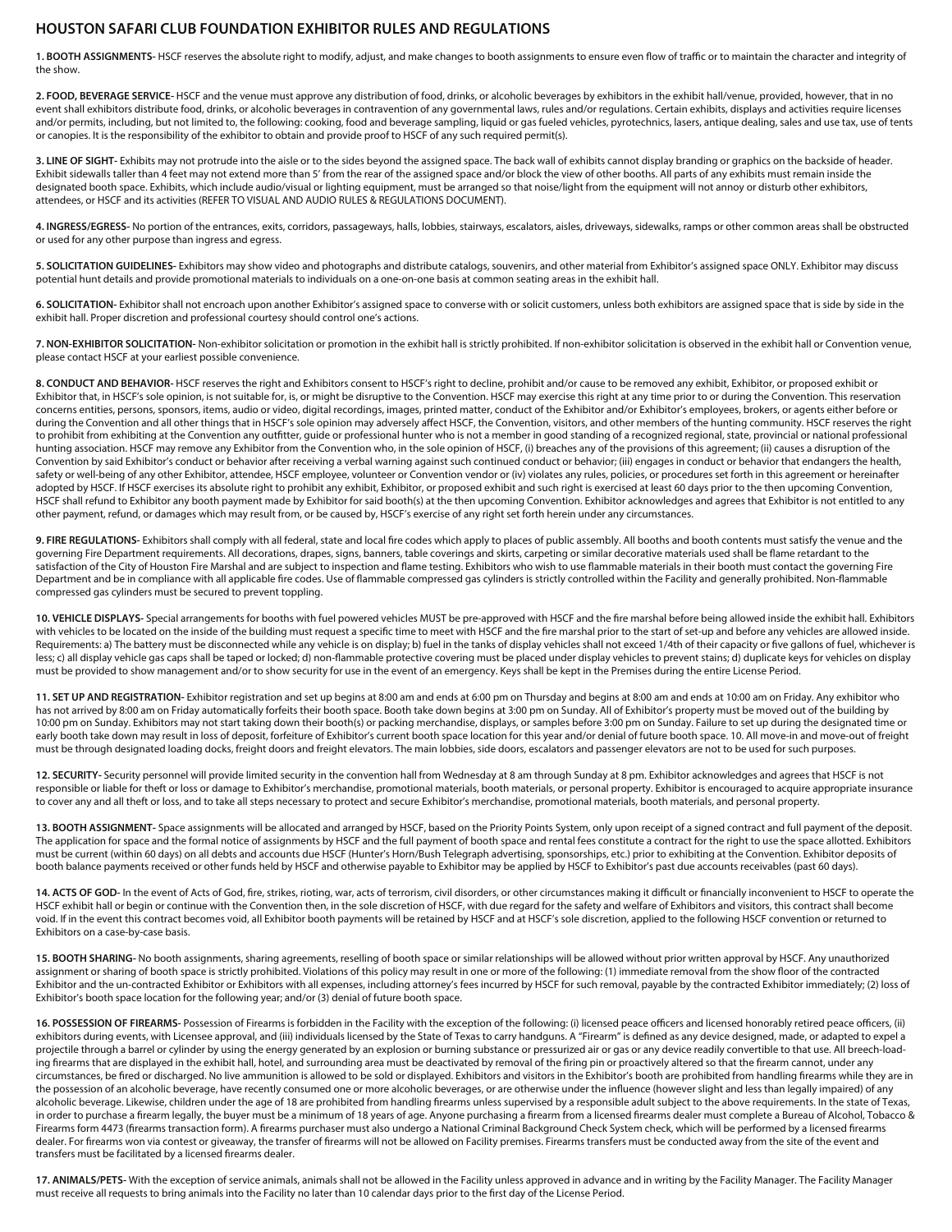#### **HOUSTON SAFARI CLUB FOUNDATION EXHIBITOR RULES AND REGULATIONS**

1. BOOTH ASSIGNMENTS-HSCF reserves the absolute right to modify, adjust, and make changes to booth assignments to ensure even flow of traffic or to maintain the character and integrity of the show.

**2. FOOD, BEVERAGE SERVICE-** HSCF and the venue must approve any distribution of food, drinks, or alcoholic beverages by exhibitors in the exhibit hall/venue, provided, however, that in no event shall exhibitors distribute food, drinks, or alcoholic beverages in contravention of any governmental laws, rules and/or regulations. Certain exhibits, displays and activities require licenses and/or permits, including, but not limited to, the following: cooking, food and beverage sampling, liquid or gas fueled vehicles, pyrotechnics, lasers, antique dealing, sales and use tax, use of tents or canopies. It is the responsibility of the exhibitor to obtain and provide proof to HSCF of any such required permit(s).

3. LINE OF SIGHT- Exhibits may not protrude into the aisle or to the sides beyond the assigned space. The back wall of exhibits cannot display branding or graphics on the backside of header. Exhibit sidewalls taller than 4 feet may not extend more than 5' from the rear of the assigned space and/or block the view of other booths. All parts of any exhibits must remain inside the designated booth space. Exhibits, which include audio/visual or lighting equipment, must be arranged so that noise/light from the equipment will not annoy or disturb other exhibitors, attendees, or HSCF and its activities (REFER TO VISUAL AND AUDIO RULES & REGULATIONS DOCUMENT).

**4. INGRESS/EGRESS-** No portion of the entrances, exits, corridors, passageways, halls, lobbies, stairways, escalators, aisles, driveways, sidewalks, ramps or other common areas shall be obstructed or used for any other purpose than ingress and egress.

**5. SOLICITATION GUIDELINES-** Exhibitors may show video and photographs and distribute catalogs, souvenirs, and other material from Exhibitor's assigned space ONLY. Exhibitor may discuss potential hunt details and provide promotional materials to individuals on a one-on-one basis at common seating areas in the exhibit hall.

**6. SOLICITATION-** Exhibitor shall not encroach upon another Exhibitor's assigned space to converse with or solicit customers, unless both exhibitors are assigned space that is side by side in the exhibit hall. Proper discretion and professional courtesy should control one's actions.

**7. NON-EXHIBITOR SOLICITATION-** Non-exhibitor solicitation or promotion in the exhibit hall is strictly prohibited. If non-exhibitor solicitation is observed in the exhibit hall or Convention venue, please contact HSCF at your earliest possible convenience.

**8. CONDUCT AND BEHAVIOR-** HSCF reserves the right and Exhibitors consent to HSCF's right to decline, prohibit and/or cause to be removed any exhibit, Exhibitor, or proposed exhibit or Exhibitor that, in HSCF's sole opinion, is not suitable for, is, or might be disruptive to the Convention. HSCF may exercise this right at any time prior to or during the Convention. This reservation concerns entities, persons, sponsors, items, audio or video, digital recordings, images, printed matter, conduct of the Exhibitor and/or Exhibitor's employees, brokers, or agents either before or during the Convention and all other things that in HSCF's sole opinion may adversely affect HSCF, the Convention, visitors, and other members of the hunting community. HSCF reserves the right to prohibit from exhibiting at the Convention any outfitter, guide or professional hunter who is not a member in good standing of a recognized regional, state, provincial or national professional hunting association. HSCF may remove any Exhibitor from the Convention who, in the sole opinion of HSCF, (i) breaches any of the provisions of this agreement; (ii) causes a disruption of the Convention by said Exhibitor's conduct or behavior after receiving a verbal warning against such continued conduct or behavior; (iii) engages in conduct or behavior that endangers the health, safety or well-being of any other Exhibitor, attendee, HSCF employee, volunteer or Convention vendor or (iv) violates any rules, policies, or procedures set forth in this agreement or hereinafter adopted by HSCF. If HSCF exercises its absolute right to prohibit any exhibit, Exhibitor, or proposed exhibit and such right is exercised at least 60 days prior to the then upcoming Convention, HSCF shall refund to Exhibitor any booth payment made by Exhibitor for said booth(s) at the then upcoming Convention. Exhibitor acknowledges and agrees that Exhibitor is not entitled to any other payment, refund, or damages which may result from, or be caused by, HSCF's exercise of any right set forth herein under any circumstances.

9. FIRE REGULATIONS- Exhibitors shall comply with all federal, state and local fire codes which apply to places of public assembly. All booths and booth contents must satisfy the venue and the governing Fire Department requirements. All decorations, drapes, signs, banners, table coverings and skirts, carpeting or similar decorative materials used shall be flame retardant to the satisfaction of the City of Houston Fire Marshal and are subject to inspection and flame testing. Exhibitors who wish to use flammable materials in their booth must contact the governing Fire Department and be in compliance with all applicable fire codes. Use of flammable compressed gas cylinders is strictly controlled within the Facility and generally prohibited. Non-flammable compressed gas cylinders must be secured to prevent toppling.

**10. VEHICLE DISPLAYS-** Special arrangements for booths with fuel powered vehicles MUST be pre-approved with HSCF and the re marshal before being allowed inside the exhibit hall. Exhibitors with vehicles to be located on the inside of the building must request a specific time to meet with HSCF and the fire marshal prior to the start of set-up and before any vehicles are allowed inside. Requirements: a) The battery must be disconnected while any vehicle is on display; b) fuel in the tanks of display vehicles shall not exceed 1/4th of their capacity or five gallons of fuel, whichever is less; c) all display vehicle gas caps shall be taped or locked; d) non-flammable protective covering must be placed under display vehicles to prevent stains; d) duplicate keys for vehicles on display must be provided to show management and/or to show security for use in the event of an emergency. Keys shall be kept in the Premises during the entire License Period.

**11. SET UP AND REGISTRATION-** Exhibitor registration and set up begins at 8:00 am and ends at 6:00 pm on Thursday and begins at 8:00 am and ends at 10:00 am on Friday. Any exhibitor who has not arrived by 8:00 am on Friday automatically forfeits their booth space. Booth take down begins at 3:00 pm on Sunday. All of Exhibitor's property must be moved out of the building by 10:00 pm on Sunday. Exhibitors may not start taking down their booth(s) or packing merchandise, displays, or samples before 3:00 pm on Sunday. Failure to set up during the designated time or early booth take down may result in loss of deposit, forfeiture of Exhibitor's current booth space location for this year and/or denial of future booth space. 10. All move-in and move-out of freight must be through designated loading docks, freight doors and freight elevators. The main lobbies, side doors, escalators and passenger elevators are not to be used for such purposes.

**12. SECURITY-** Security personnel will provide limited security in the convention hall from Wednesday at 8 am through Sunday at 8 pm. Exhibitor acknowledges and agrees that HSCF is not responsible or liable for theft or loss or damage to Exhibitor's merchandise, promotional materials, booth materials, or personal property. Exhibitor is encouraged to acquire appropriate insurance to cover any and all theft or loss, and to take all steps necessary to protect and secure Exhibitor's merchandise, promotional materials, booth materials, and personal property.

13. BOOTH ASSIGNMENT- Space assignments will be allocated and arranged by HSCF, based on the Priority Points System, only upon receipt of a signed contract and full payment of the deposit. The application for space and the formal notice of assignments by HSCF and the full payment of booth space and rental fees constitute a contract for the right to use the space allotted. Exhibitors must be current (within 60 days) on all debts and accounts due HSCF (Hunter's Horn/Bush Telegraph advertising, sponsorships, etc.) prior to exhibiting at the Convention. Exhibitor deposits of booth balance payments received or other funds held by HSCF and otherwise payable to Exhibitor may be applied by HSCF to Exhibitor's past due accounts receivables (past 60 days).

14. ACTS OF GOD- In the event of Acts of God, fire, strikes, rioting, war, acts of terrorism, civil disorders, or other circumstances making it difficult or financially inconvenient to HSCF to operate the HSCF exhibit hall or begin or continue with the Convention then, in the sole discretion of HSCF, with due regard for the safety and welfare of Exhibitors and visitors, this contract shall become void. If in the event this contract becomes void, all Exhibitor booth payments will be retained by HSCF and at HSCF's sole discretion, applied to the following HSCF convention or returned to Exhibitors on a case-by-case basis.

**15. BOOTH SHARING-** No booth assignments, sharing agreements, reselling of booth space or similar relationships will be allowed without prior written approval by HSCF. Any unauthorized assignment or sharing of booth space is strictly prohibited. Violations of this policy may result in one or more of the following: (1) immediate removal from the show floor of the contracted Exhibitor and the un-contracted Exhibitor or Exhibitors with all expenses, including attorney's fees incurred by HSCF for such removal, payable by the contracted Exhibitor immediately; (2) loss of Exhibitor's booth space location for the following year; and/or (3) denial of future booth space.

16. POSSESSION OF FIREARMS- Possession of Firearms is forbidden in the Facility with the exception of the following: (i) licensed peace officers and licensed honorably retired peace officers, (ii) exhibitors during events, with Licensee approval, and (iii) individuals licensed by the State of Texas to carry handguns. A "Firearm" is defined as any device designed, made, or adapted to expel a projectile through a barrel or cylinder by using the energy generated by an explosion or burning substance or pressurized air or gas or any device readily convertible to that use. All breech-loading firearms that are displayed in the exhibit hall, hotel, and surrounding area must be deactivated by removal of the firing pin or proactively altered so that the firearm cannot, under any circumstances, be red or discharged. No live ammunition is allowed to be sold or displayed. Exhibitors and visitors in the Exhibitor's booth are prohibited from handling rearms while they are in the possession of an alcoholic beverage, have recently consumed one or more alcoholic beverages, or are otherwise under the influence (however slight and less than legally impaired) of any alcoholic beverage. Likewise, children under the age of 18 are prohibited from handling firearms unless supervised by a responsible adult subject to the above requirements. In the state of Texas, in order to purchase a firearm legally, the buyer must be a minimum of 18 years of age. Anyone purchasing a firearm from a licensed firearms dealer must complete a Bureau of Alcohol, Tobacco & Firearms form 4473 (firearms transaction form). A firearms purchaser must also undergo a National Criminal Background Check System check, which will be performed by a licensed firearms dealer. For firearms won via contest or giveaway, the transfer of firearms will not be allowed on Facility premises. Firearms transfers must be conducted away from the site of the event and transfers must be facilitated by a licensed firearms dealer.

**17. ANIMALS/PETS-** With the exception of service animals, animals shall not be allowed in the Facility unless approved in advance and in writing by the Facility Manager. The Facility Manager must receive all requests to bring animals into the Facility no later than 10 calendar days prior to the first day of the License Period.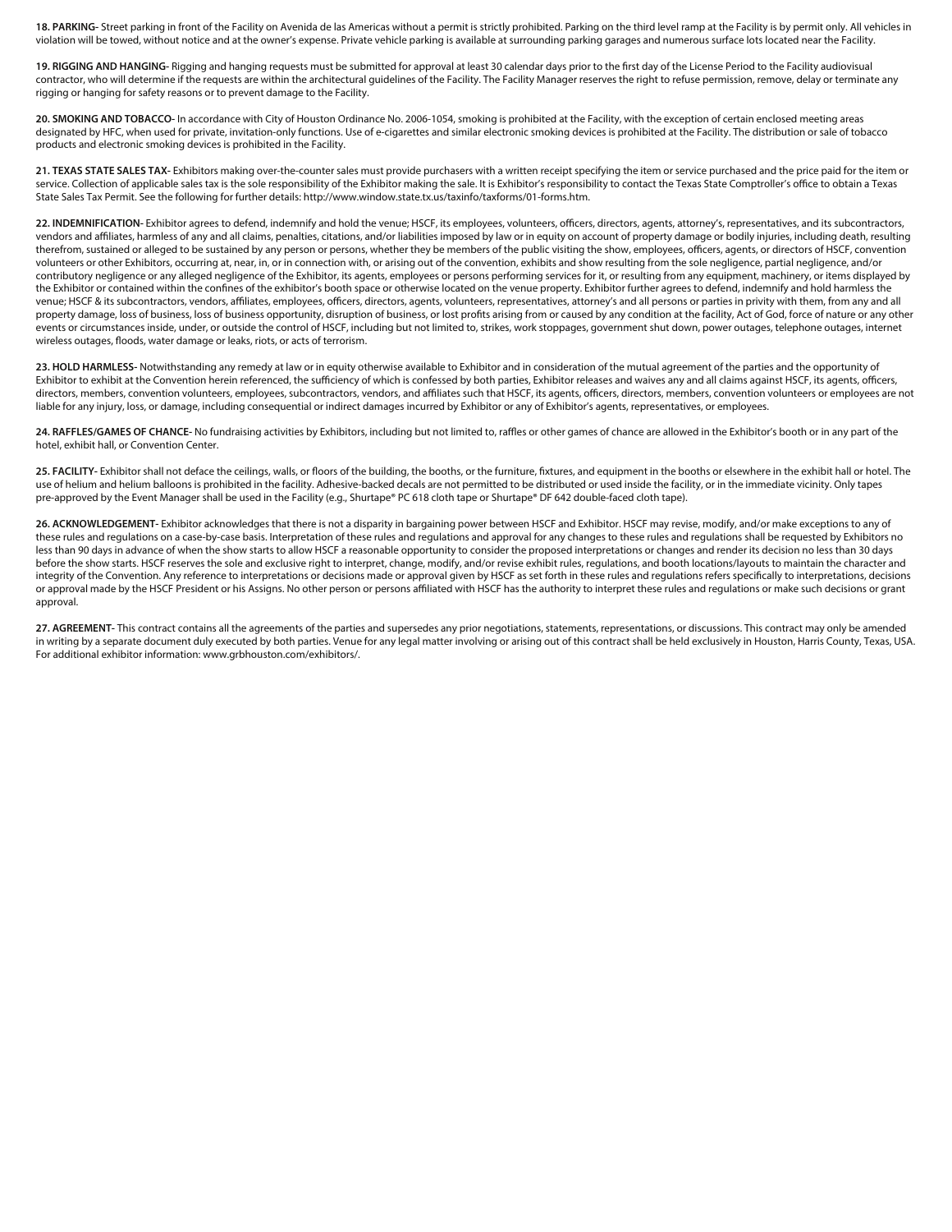**18. PARKING-** Street parking in front of the Facility on Avenida de las Americas without a permit is strictly prohibited. Parking on the third level ramp at the Facility is by permit only. All vehicles in violation will be towed, without notice and at the owner's expense. Private vehicle parking is available at surrounding parking garages and numerous surface lots located near the Facility.

19. RIGGING AND HANGING- Rigging and hanging requests must be submitted for approval at least 30 calendar days prior to the first day of the License Period to the Facility audiovisual contractor, who will determine if the requests are within the architectural guidelines of the Facility. The Facility Manager reserves the right to refuse permission, remove, delay or terminate any rigging or hanging for safety reasons or to prevent damage to the Facility.

**20. SMOKING AND TOBACCO-** In accordance with City of Houston Ordinance No. 2006-1054, smoking is prohibited at the Facility, with the exception of certain enclosed meeting areas designated by HFC, when used for private, invitation-only functions. Use of e-cigarettes and similar electronic smoking devices is prohibited at the Facility. The distribution or sale of tobacco products and electronic smoking devices is prohibited in the Facility.

**21. TEXAS STATE SALES TAX-** Exhibitors making over-the-counter sales must provide purchasers with a written receipt specifying the item or service purchased and the price paid for the item or service. Collection of applicable sales tax is the sole responsibility of the Exhibitor making the sale. It is Exhibitor's responsibility to contact the Texas State Comptroller's office to obtain a Texas State Sales Tax Permit. See the following for further details: http://www.window.state.tx.us/taxinfo/taxforms/01-forms.htm.

22. INDEMNIFICATION- Exhibitor agrees to defend, indemnify and hold the venue; HSCF, its employees, volunteers, officers, directors, agents, attorney's, representatives, and its subcontractors, vendors and affiliates, harmless of any and all claims, penalties, citations, and/or liabilities imposed by law or in equity on account of property damage or bodily injuries, including death, resulting therefrom, sustained or alleged to be sustained by any person or persons, whether they be members of the public visiting the show, employees, officers, agents, or directors of HSCF, convention volunteers or other Exhibitors, occurring at, near, in, or in connection with, or arising out of the convention, exhibits and show resulting from the sole negligence, partial negligence, and/or contributory negligence or any alleged negligence of the Exhibitor, its agents, employees or persons performing services for it, or resulting from any equipment, machinery, or items displayed by the Exhibitor or contained within the confines of the exhibitor's booth space or otherwise located on the venue property. Exhibitor further agrees to defend, indemnify and hold harmless the venue; HSCF & its subcontractors, vendors, affiliates, employees, officers, directors, agents, volunteers, representatives, attorney's and all persons or parties in privity with them, from any and all property damage, loss of business, loss of business opportunity, disruption of business, or lost profits arising from or caused by any condition at the facility, Act of God, force of nature or any other events or circumstances inside, under, or outside the control of HSCF, including but not limited to, strikes, work stoppages, government shut down, power outages, telephone outages, internet wireless outages, floods, water damage or leaks, riots, or acts of terrorism.

23. HOLD HARMLESS- Notwithstanding any remedy at law or in equity otherwise available to Exhibitor and in consideration of the mutual agreement of the parties and the opportunity of Exhibitor to exhibit at the Convention herein referenced, the sufficiency of which is confessed by both parties, Exhibitor releases and waives any and all claims against HSCF, its agents, officers, directors, members, convention volunteers, employees, subcontractors, vendors, and affiliates such that HSCF, its agents, officers, directors, members, convention volunteers or employees are not liable for any injury, loss, or damage, including consequential or indirect damages incurred by Exhibitor or any of Exhibitor's agents, representatives, or employees.

24. RAFFLES/GAMES OF CHANCE- No fundraising activities by Exhibitors, including but not limited to, raffles or other games of chance are allowed in the Exhibitor's booth or in any part of the hotel, exhibit hall, or Convention Center.

25. FACILITY- Exhibitor shall not deface the ceilings, walls, or floors of the building, the booths, or the furniture, fixtures, and equipment in the booths or elsewhere in the exhibit hall or hotel. The use of helium and helium balloons is prohibited in the facility. Adhesive-backed decals are not permitted to be distributed or used inside the facility, or in the immediate vicinity. Only tapes pre-approved by the Event Manager shall be used in the Facility (e.g., Shurtape® PC 618 cloth tape or Shurtape® DF 642 double-faced cloth tape).

**26. ACKNOWLEDGEMENT-** Exhibitor acknowledges that there is not a disparity in bargaining power between HSCF and Exhibitor. HSCF may revise, modify, and/or make exceptions to any of these rules and regulations on a case-by-case basis. Interpretation of these rules and regulations and approval for any changes to these rules and regulations shall be requested by Exhibitors no less than 90 days in advance of when the show starts to allow HSCF a reasonable opportunity to consider the proposed interpretations or changes and render its decision no less than 30 days before the show starts. HSCF reserves the sole and exclusive right to interpret, change, modify, and/or revise exhibit rules, regulations, and booth locations/layouts to maintain the character and integrity of the Convention. Any reference to interpretations or decisions made or approval given by HSCF as set forth in these rules and regulations refers specically to interpretations, decisions or approval made by the HSCF President or his Assigns. No other person or persons affiliated with HSCF has the authority to interpret these rules and regulations or make such decisions or grant approval.

**27. AGREEMENT-** This contract contains all the agreements of the parties and supersedes any prior negotiations, statements, representations, or discussions. This contract may only be amended in writing by a separate document duly executed by both parties. Venue for any legal matter involving or arising out of this contract shall be held exclusively in Houston, Harris County, Texas, USA. For additional exhibitor information: www.grbhouston.com/exhibitors/.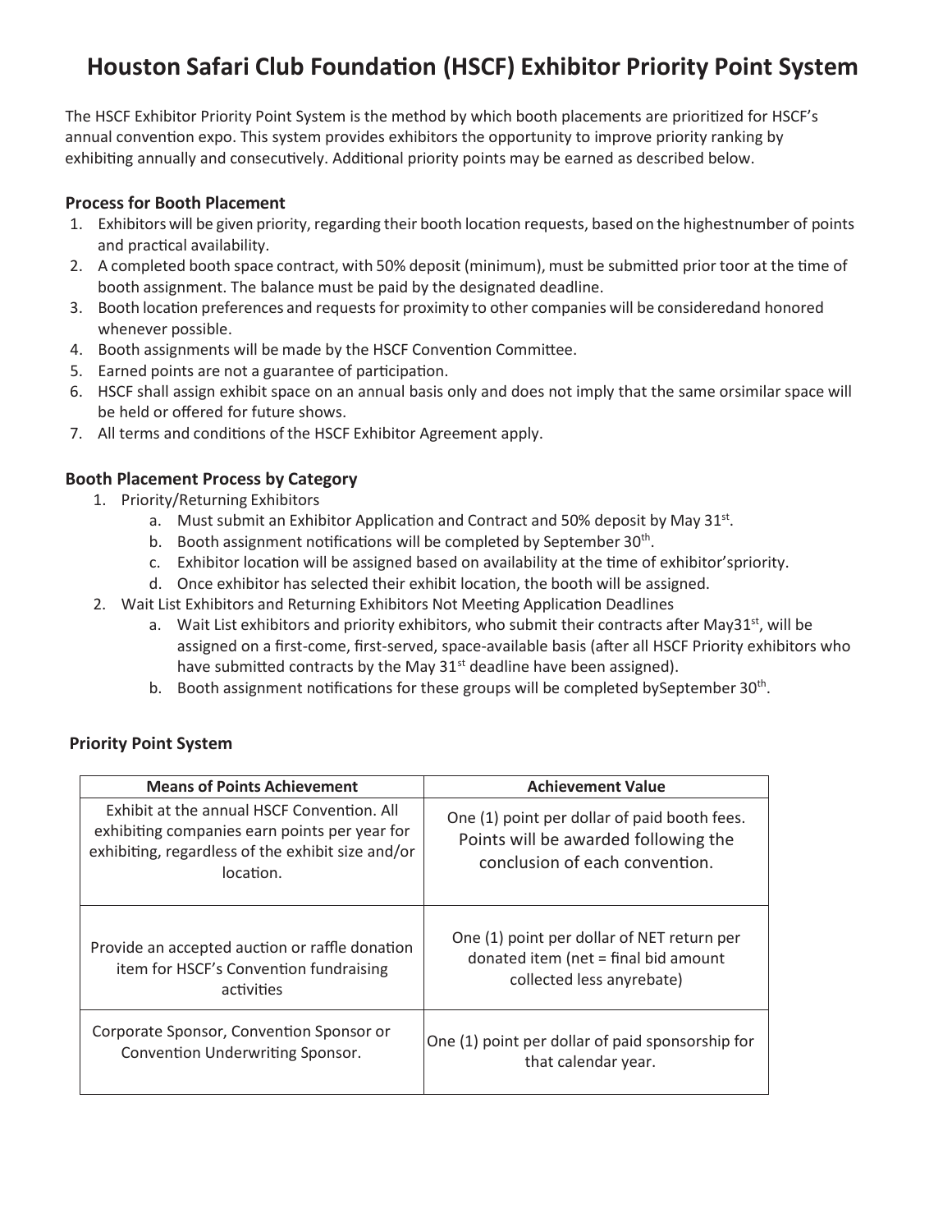# **Houston Safari Club Founda�on (HSCF) Exhibitor Priority Point System**

The HSCF Exhibitor Priority Point System is the method by which booth placements are prioritized for HSCF's annual convention expo. This system provides exhibitors the opportunity to improve priority ranking by exhibiting annually and consecutively. Additional priority points may be earned as described below.

#### **Process for Booth Placement**

- 1. Exhibitors will be given priority, regarding their booth location requests, based on the highestnumber of points and practical availability.
- 2. A completed booth space contract, with 50% deposit (minimum), must be submitted prior toor at the time of booth assignment. The balance must be paid by the designated deadline.
- 3. Booth location preferences and requests for proximity to other companies will be consideredand honored whenever possible.
- 4. Booth assignments will be made by the HSCF Convention Committee.
- 5. Earned points are not a guarantee of participation.
- 6. HSCF shall assign exhibit space on an annual basis only and does not imply that the same orsimilar space will be held or offered for future shows.
- 7. All terms and conditions of the HSCF Exhibitor Agreement apply.

### **Booth Placement Process by Category**

- 1. Priority/Returning Exhibitors
	- a. Must submit an Exhibitor Application and Contract and 50% deposit by May 31 $st$ .
	- b. Booth assignment notifications will be completed by September  $30<sup>th</sup>$ .
	- c. Exhibitor location will be assigned based on availability at the time of exhibitor'spriority.
	- d. Once exhibitor has selected their exhibit location, the booth will be assigned.
- 2. Wait List Exhibitors and Returning Exhibitors Not Meeting Application Deadlines
	- a. Wait List exhibitors and priority exhibitors, who submit their contracts after May31<sup>st</sup>, will be assigned on a first-come, first-served, space-available basis (after all HSCF Priority exhibitors who have submitted contracts by the May  $31^{st}$  deadline have been assigned).
	- b. Booth assignment notifications for these groups will be completed bySeptember 30<sup>th</sup>.

### **Priority Point System**

| <b>Means of Points Achievement</b>                                                                                                                            | <b>Achievement Value</b>                                                                                               |  |
|---------------------------------------------------------------------------------------------------------------------------------------------------------------|------------------------------------------------------------------------------------------------------------------------|--|
| Exhibit at the annual HSCF Convention. All<br>exhibiting companies earn points per year for<br>exhibiting, regardless of the exhibit size and/or<br>location. | One (1) point per dollar of paid booth fees.<br>Points will be awarded following the<br>conclusion of each convention. |  |
| Provide an accepted auction or raffle donation                                                                                                                | One (1) point per dollar of NET return per                                                                             |  |
| item for HSCF's Convention fundraising                                                                                                                        | donated item (net = final bid amount                                                                                   |  |
| activities                                                                                                                                                    | collected less anyrebate)                                                                                              |  |
| Corporate Sponsor, Convention Sponsor or                                                                                                                      | One (1) point per dollar of paid sponsorship for                                                                       |  |
| Convention Underwriting Sponsor.                                                                                                                              | that calendar year.                                                                                                    |  |